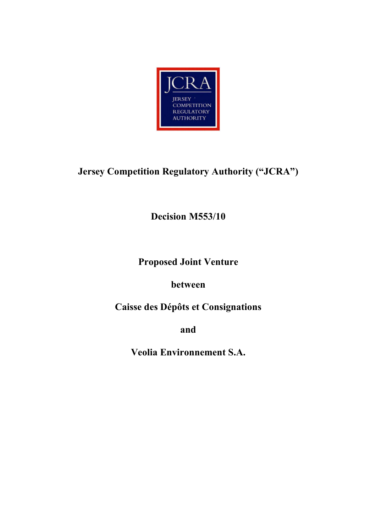

# Jersey Competition Regulatory Authority ("JCRA")

Decision M553/10

Proposed Joint Venture

between

Caisse des Dépôts et Consignations

and

Veolia Environnement S.A.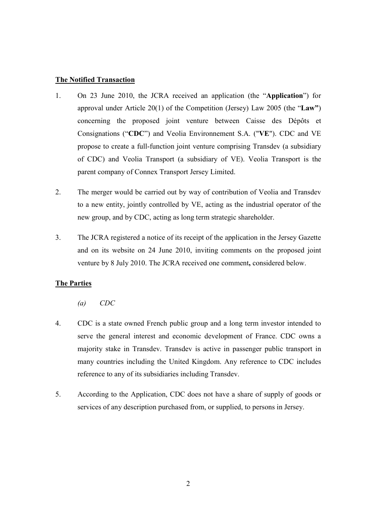### The Notified Transaction

- 1. On 23 June 2010, the JCRA received an application (the "Application") for approval under Article 20(1) of the Competition (Jersey) Law 2005 (the "Law") concerning the proposed joint venture between Caisse des Dépôts et Consignations ("CDC") and Veolia Environnement S.A. ("VE"). CDC and VE propose to create a full-function joint venture comprising Transdev (a subsidiary of CDC) and Veolia Transport (a subsidiary of VE). Veolia Transport is the parent company of Connex Transport Jersey Limited.
- 2. The merger would be carried out by way of contribution of Veolia and Transdev to a new entity, jointly controlled by VE, acting as the industrial operator of the new group, and by CDC, acting as long term strategic shareholder.
- 3. The JCRA registered a notice of its receipt of the application in the Jersey Gazette and on its website on 24 June 2010, inviting comments on the proposed joint venture by 8 July 2010. The JCRA received one comment, considered below.

# The Parties

- (a) CDC
- 4. CDC is a state owned French public group and a long term investor intended to serve the general interest and economic development of France. CDC owns a majority stake in Transdev. Transdev is active in passenger public transport in many countries including the United Kingdom. Any reference to CDC includes reference to any of its subsidiaries including Transdev.
- 5. According to the Application, CDC does not have a share of supply of goods or services of any description purchased from, or supplied, to persons in Jersey.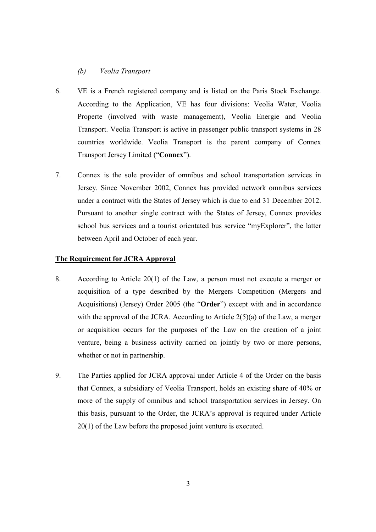## (b) Veolia Transport

- 6. VE is a French registered company and is listed on the Paris Stock Exchange. According to the Application, VE has four divisions: Veolia Water, Veolia Properte (involved with waste management), Veolia Energie and Veolia Transport. Veolia Transport is active in passenger public transport systems in 28 countries worldwide. Veolia Transport is the parent company of Connex Transport Jersey Limited ("Connex").
- 7. Connex is the sole provider of omnibus and school transportation services in Jersey. Since November 2002, Connex has provided network omnibus services under a contract with the States of Jersey which is due to end 31 December 2012. Pursuant to another single contract with the States of Jersey, Connex provides school bus services and a tourist orientated bus service "myExplorer", the latter between April and October of each year.

#### The Requirement for JCRA Approval

- 8. According to Article 20(1) of the Law, a person must not execute a merger or acquisition of a type described by the Mergers Competition (Mergers and Acquisitions) (Jersey) Order 2005 (the "Order") except with and in accordance with the approval of the JCRA. According to Article 2(5)(a) of the Law, a merger or acquisition occurs for the purposes of the Law on the creation of a joint venture, being a business activity carried on jointly by two or more persons, whether or not in partnership.
- 9. The Parties applied for JCRA approval under Article 4 of the Order on the basis that Connex, a subsidiary of Veolia Transport, holds an existing share of 40% or more of the supply of omnibus and school transportation services in Jersey. On this basis, pursuant to the Order, the JCRA's approval is required under Article 20(1) of the Law before the proposed joint venture is executed.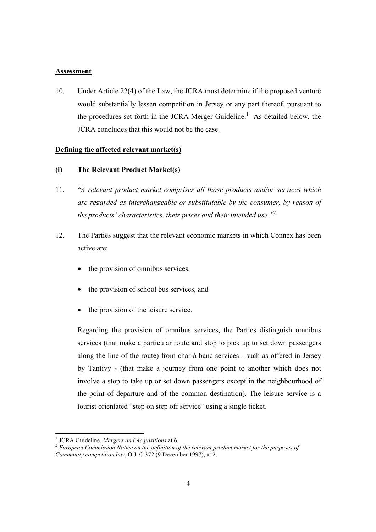#### Assessment

10. Under Article 22(4) of the Law, the JCRA must determine if the proposed venture would substantially lessen competition in Jersey or any part thereof, pursuant to the procedures set forth in the JCRA Merger Guideline.<sup>1</sup> As detailed below, the JCRA concludes that this would not be the case.

## Defining the affected relevant market(s)

## (i) The Relevant Product Market(s)

- 11. "A relevant product market comprises all those products and/or services which are regarded as interchangeable or substitutable by the consumer, by reason of the products' characteristics, their prices and their intended use."<sup>2</sup>
- 12. The Parties suggest that the relevant economic markets in which Connex has been active are:
	- the provision of omnibus services,
	- the provision of school bus services, and
	- the provision of the leisure service.

Regarding the provision of omnibus services, the Parties distinguish omnibus services (that make a particular route and stop to pick up to set down passengers along the line of the route) from char-à-banc services - such as offered in Jersey by Tantivy - (that make a journey from one point to another which does not involve a stop to take up or set down passengers except in the neighbourhood of the point of departure and of the common destination). The leisure service is a tourist orientated "step on step off service" using a single ticket.

<sup>1&</sup>lt;br><sup>1</sup> JCRA Guideline, *Mergers and Acquisitions* at 6.

 $2$  European Commission Notice on the definition of the relevant product market for the purposes of Community competition law, O.J. C 372 (9 December 1997), at 2.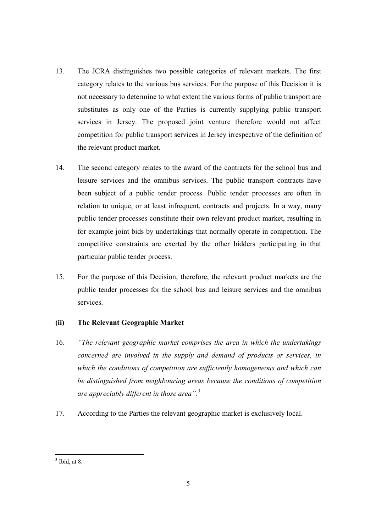- 13. The JCRA distinguishes two possible categories of relevant markets. The first category relates to the various bus services. For the purpose of this Decision it is not necessary to determine to what extent the various forms of public transport are substitutes as only one of the Parties is currently supplying public transport services in Jersey. The proposed joint venture therefore would not affect competition for public transport services in Jersey irrespective of the definition of the relevant product market.
- 14. The second category relates to the award of the contracts for the school bus and leisure services and the omnibus services. The public transport contracts have been subject of a public tender process. Public tender processes are often in relation to unique, or at least infrequent, contracts and projects. In a way, many public tender processes constitute their own relevant product market, resulting in for example joint bids by undertakings that normally operate in competition. The competitive constraints are exerted by the other bidders participating in that particular public tender process.
- 15. For the purpose of this Decision, therefore, the relevant product markets are the public tender processes for the school bus and leisure services and the omnibus services.

# (ii) The Relevant Geographic Market

- 16. "The relevant geographic market comprises the area in which the undertakings concerned are involved in the supply and demand of products or services, in which the conditions of competition are sufficiently homogeneous and which can be distinguished from neighbouring areas because the conditions of competition are appreciably different in those area".<sup>3</sup>
- 17. According to the Parties the relevant geographic market is exclusively local.

 $\frac{1}{3}$  Ibid, at 8.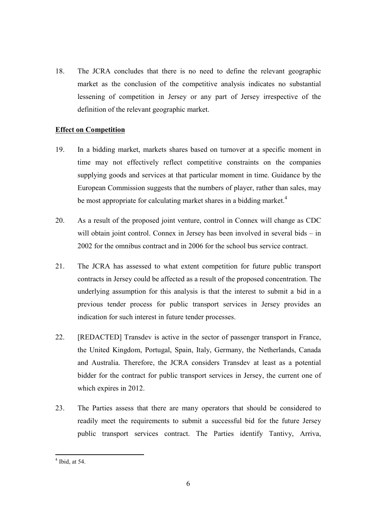18. The JCRA concludes that there is no need to define the relevant geographic market as the conclusion of the competitive analysis indicates no substantial lessening of competition in Jersey or any part of Jersey irrespective of the definition of the relevant geographic market.

# Effect on Competition

- 19. In a bidding market, markets shares based on turnover at a specific moment in time may not effectively reflect competitive constraints on the companies supplying goods and services at that particular moment in time. Guidance by the European Commission suggests that the numbers of player, rather than sales, may be most appropriate for calculating market shares in a bidding market.<sup>4</sup>
- 20. As a result of the proposed joint venture, control in Connex will change as CDC will obtain joint control. Connex in Jersey has been involved in several bids – in 2002 for the omnibus contract and in 2006 for the school bus service contract.
- 21. The JCRA has assessed to what extent competition for future public transport contracts in Jersey could be affected as a result of the proposed concentration. The underlying assumption for this analysis is that the interest to submit a bid in a previous tender process for public transport services in Jersey provides an indication for such interest in future tender processes.
- 22. [REDACTED] Transdev is active in the sector of passenger transport in France, the United Kingdom, Portugal, Spain, Italy, Germany, the Netherlands, Canada and Australia. Therefore, the JCRA considers Transdev at least as a potential bidder for the contract for public transport services in Jersey, the current one of which expires in 2012.
- 23. The Parties assess that there are many operators that should be considered to readily meet the requirements to submit a successful bid for the future Jersey public transport services contract. The Parties identify Tantivy, Arriva,

 $4$  Ibid, at 54.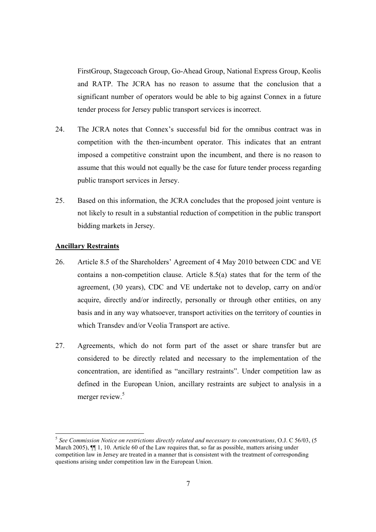FirstGroup, Stagecoach Group, Go-Ahead Group, National Express Group, Keolis and RATP. The JCRA has no reason to assume that the conclusion that a significant number of operators would be able to big against Connex in a future tender process for Jersey public transport services is incorrect.

- 24. The JCRA notes that Connex's successful bid for the omnibus contract was in competition with the then-incumbent operator. This indicates that an entrant imposed a competitive constraint upon the incumbent, and there is no reason to assume that this would not equally be the case for future tender process regarding public transport services in Jersey.
- 25. Based on this information, the JCRA concludes that the proposed joint venture is not likely to result in a substantial reduction of competition in the public transport bidding markets in Jersey.

### Ancillary Restraints

-

- 26. Article 8.5 of the Shareholders' Agreement of 4 May 2010 between CDC and VE contains a non-competition clause. Article 8.5(a) states that for the term of the agreement, (30 years), CDC and VE undertake not to develop, carry on and/or acquire, directly and/or indirectly, personally or through other entities, on any basis and in any way whatsoever, transport activities on the territory of counties in which Transdev and/or Veolia Transport are active.
- 27. Agreements, which do not form part of the asset or share transfer but are considered to be directly related and necessary to the implementation of the concentration, are identified as "ancillary restraints". Under competition law as defined in the European Union, ancillary restraints are subject to analysis in a merger review.<sup>5</sup>

 $5$  See Commission Notice on restrictions directly related and necessary to concentrations, O.J. C 56/03, (5) March 2005),  $\P$ [1, 10. Article 60 of the Law requires that, so far as possible, matters arising under competition law in Jersey are treated in a manner that is consistent with the treatment of corresponding questions arising under competition law in the European Union.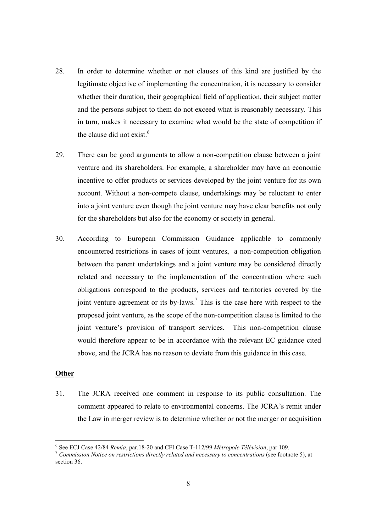- 28. In order to determine whether or not clauses of this kind are justified by the legitimate objective of implementing the concentration, it is necessary to consider whether their duration, their geographical field of application, their subject matter and the persons subject to them do not exceed what is reasonably necessary. This in turn, makes it necessary to examine what would be the state of competition if the clause did not exist.<sup>6</sup>
- 29. There can be good arguments to allow a non-competition clause between a joint venture and its shareholders. For example, a shareholder may have an economic incentive to offer products or services developed by the joint venture for its own account. Without a non-compete clause, undertakings may be reluctant to enter into a joint venture even though the joint venture may have clear benefits not only for the shareholders but also for the economy or society in general.
- 30. According to European Commission Guidance applicable to commonly encountered restrictions in cases of joint ventures, a non-competition obligation between the parent undertakings and a joint venture may be considered directly related and necessary to the implementation of the concentration where such obligations correspond to the products, services and territories covered by the joint venture agreement or its by-laws.<sup>7</sup> This is the case here with respect to the proposed joint venture, as the scope of the non-competition clause is limited to the joint venture's provision of transport services. This non-competition clause would therefore appear to be in accordance with the relevant EC guidance cited above, and the JCRA has no reason to deviate from this guidance in this case.

#### **Other**

-

31. The JCRA received one comment in response to its public consultation. The comment appeared to relate to environmental concerns. The JCRA's remit under the Law in merger review is to determine whether or not the merger or acquisition

<sup>&</sup>lt;sup>6</sup> See ECJ Case 42/84 Remia, par.18-20 and CFI Case T-112/99 Métropole Télévision, par.109.

<sup>&</sup>lt;sup>7</sup> Commission Notice on restrictions directly related and necessary to concentrations (see footnote 5), at section 36.